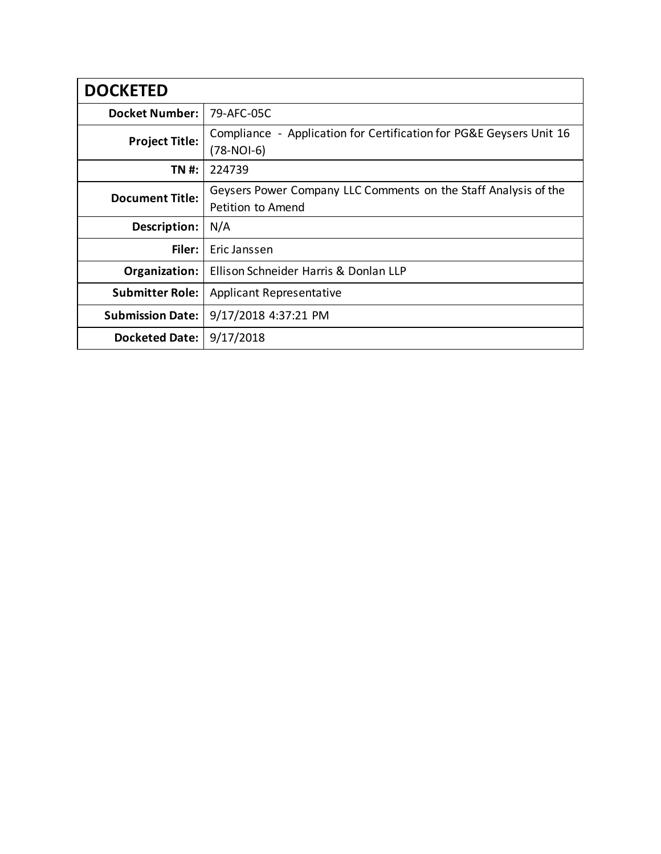| <b>DOCKETED</b>         |                                                                                      |
|-------------------------|--------------------------------------------------------------------------------------|
| <b>Docket Number:</b>   | 79-AFC-05C                                                                           |
| <b>Project Title:</b>   | Compliance - Application for Certification for PG&E Geysers Unit 16<br>$(78-NOI-6)$  |
| TN #:                   | 224739                                                                               |
| <b>Document Title:</b>  | Geysers Power Company LLC Comments on the Staff Analysis of the<br>Petition to Amend |
| Description:            | N/A                                                                                  |
| Filer:                  | Fric Janssen                                                                         |
| Organization:           | Ellison Schneider Harris & Donlan LLP                                                |
| <b>Submitter Role:</b>  | <b>Applicant Representative</b>                                                      |
| <b>Submission Date:</b> | 9/17/2018 4:37:21 PM                                                                 |
| <b>Docketed Date:</b>   | 9/17/2018                                                                            |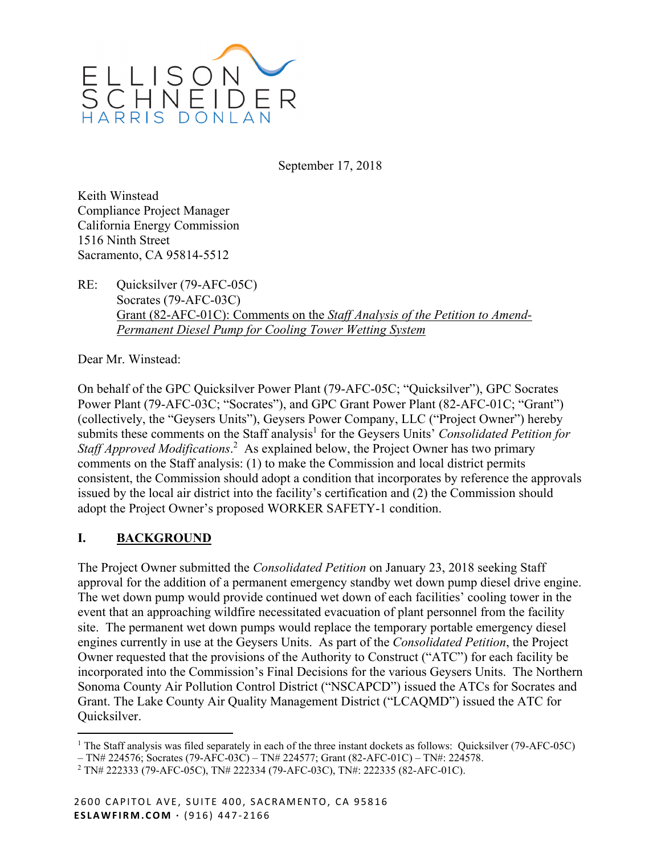

September 17, 2018

Keith Winstead Compliance Project Manager California Energy Commission 1516 Ninth Street Sacramento, CA 95814-5512

RE: Quicksilver (79-AFC-05C) Socrates (79-AFC-03C) Grant (82-AFC-01C): Comments on the *Staff Analysis of the Petition to Amend-Permanent Diesel Pump for Cooling Tower Wetting System*

Dear Mr. Winstead:

On behalf of the GPC Quicksilver Power Plant (79-AFC-05C; "Quicksilver"), GPC Socrates Power Plant (79-AFC-03C; "Socrates"), and GPC Grant Power Plant (82-AFC-01C; "Grant") (collectively, the "Geysers Units"), Geysers Power Company, LLC ("Project Owner") hereby submits these comments on the Staff analysis<sup>1</sup> for the Geysers Units' *Consolidated Petition for* Staff *Approved Modifications*.<sup>2</sup> As explained below, the Project Owner has two primary comments on the Staff analysis: (1) to make the Commission and local district permits consistent, the Commission should adopt a condition that incorporates by reference the approvals issued by the local air district into the facility's certification and (2) the Commission should adopt the Project Owner's proposed WORKER SAFETY-1 condition.

### **I. BACKGROUND**

1

The Project Owner submitted the *Consolidated Petition* on January 23, 2018 seeking Staff approval for the addition of a permanent emergency standby wet down pump diesel drive engine. The wet down pump would provide continued wet down of each facilities' cooling tower in the event that an approaching wildfire necessitated evacuation of plant personnel from the facility site. The permanent wet down pumps would replace the temporary portable emergency diesel engines currently in use at the Geysers Units. As part of the *Consolidated Petition*, the Project Owner requested that the provisions of the Authority to Construct ("ATC") for each facility be incorporated into the Commission's Final Decisions for the various Geysers Units. The Northern Sonoma County Air Pollution Control District ("NSCAPCD") issued the ATCs for Socrates and Grant. The Lake County Air Quality Management District ("LCAQMD") issued the ATC for Quicksilver.

<sup>&</sup>lt;sup>1</sup> The Staff analysis was filed separately in each of the three instant dockets as follows: Quicksilver (79-AFC-05C)

<sup>–</sup> TN# 224576; Socrates (79-AFC-03C) – TN# 224577; Grant (82-AFC-01C) – TN#: 224578.

<sup>2</sup> TN# 222333 (79-AFC-05C), TN# 222334 (79-AFC-03C), TN#: 222335 (82-AFC-01C).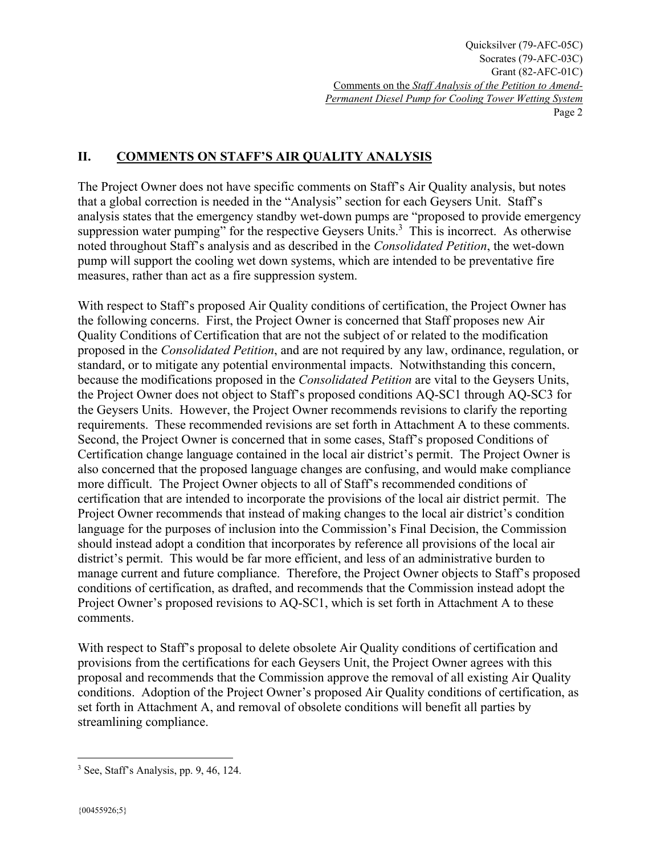### **II. COMMENTS ON STAFF'S AIR QUALITY ANALYSIS**

The Project Owner does not have specific comments on Staff's Air Quality analysis, but notes that a global correction is needed in the "Analysis" section for each Geysers Unit. Staff's analysis states that the emergency standby wet-down pumps are "proposed to provide emergency suppression water pumping" for the respective Geysers Units. $3$  This is incorrect. As otherwise noted throughout Staff's analysis and as described in the *Consolidated Petition*, the wet-down pump will support the cooling wet down systems, which are intended to be preventative fire measures, rather than act as a fire suppression system.

With respect to Staff's proposed Air Quality conditions of certification, the Project Owner has the following concerns. First, the Project Owner is concerned that Staff proposes new Air Quality Conditions of Certification that are not the subject of or related to the modification proposed in the *Consolidated Petition*, and are not required by any law, ordinance, regulation, or standard, or to mitigate any potential environmental impacts. Notwithstanding this concern, because the modifications proposed in the *Consolidated Petition* are vital to the Geysers Units, the Project Owner does not object to Staff's proposed conditions AQ-SC1 through AQ-SC3 for the Geysers Units. However, the Project Owner recommends revisions to clarify the reporting requirements. These recommended revisions are set forth in Attachment A to these comments. Second, the Project Owner is concerned that in some cases, Staff's proposed Conditions of Certification change language contained in the local air district's permit. The Project Owner is also concerned that the proposed language changes are confusing, and would make compliance more difficult. The Project Owner objects to all of Staff's recommended conditions of certification that are intended to incorporate the provisions of the local air district permit. The Project Owner recommends that instead of making changes to the local air district's condition language for the purposes of inclusion into the Commission's Final Decision, the Commission should instead adopt a condition that incorporates by reference all provisions of the local air district's permit. This would be far more efficient, and less of an administrative burden to manage current and future compliance. Therefore, the Project Owner objects to Staff's proposed conditions of certification, as drafted, and recommends that the Commission instead adopt the Project Owner's proposed revisions to AQ-SC1, which is set forth in Attachment A to these comments.

With respect to Staff's proposal to delete obsolete Air Quality conditions of certification and provisions from the certifications for each Geysers Unit, the Project Owner agrees with this proposal and recommends that the Commission approve the removal of all existing Air Quality conditions. Adoption of the Project Owner's proposed Air Quality conditions of certification, as set forth in Attachment A, and removal of obsolete conditions will benefit all parties by streamlining compliance.

 $\overline{a}$ 3 See, Staff's Analysis, pp. 9, 46, 124.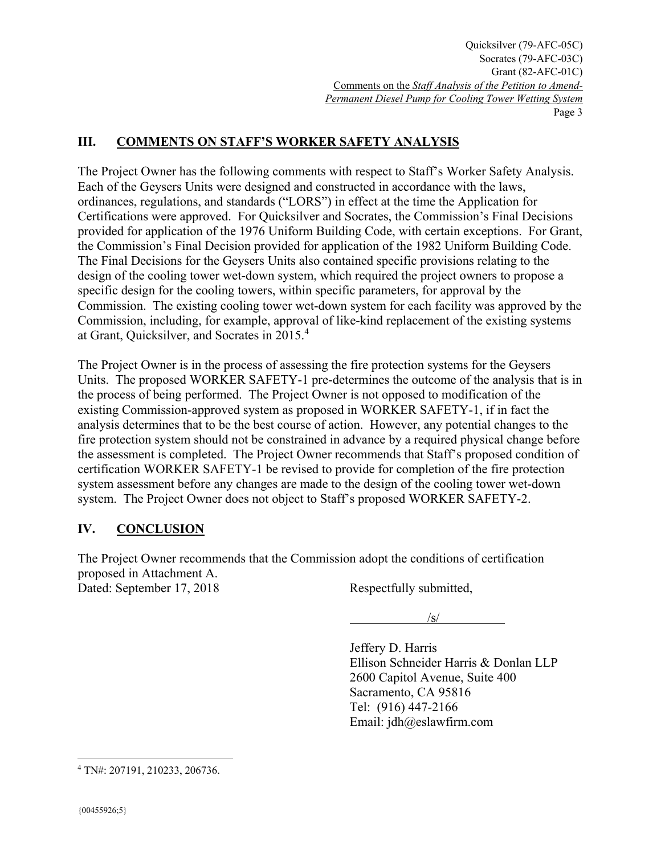### **III. COMMENTS ON STAFF'S WORKER SAFETY ANALYSIS**

The Project Owner has the following comments with respect to Staff's Worker Safety Analysis. Each of the Geysers Units were designed and constructed in accordance with the laws, ordinances, regulations, and standards ("LORS") in effect at the time the Application for Certifications were approved. For Quicksilver and Socrates, the Commission's Final Decisions provided for application of the 1976 Uniform Building Code, with certain exceptions. For Grant, the Commission's Final Decision provided for application of the 1982 Uniform Building Code. The Final Decisions for the Geysers Units also contained specific provisions relating to the design of the cooling tower wet-down system, which required the project owners to propose a specific design for the cooling towers, within specific parameters, for approval by the Commission. The existing cooling tower wet-down system for each facility was approved by the Commission, including, for example, approval of like-kind replacement of the existing systems at Grant, Quicksilver, and Socrates in 2015.<sup>4</sup>

The Project Owner is in the process of assessing the fire protection systems for the Geysers Units. The proposed WORKER SAFETY-1 pre-determines the outcome of the analysis that is in the process of being performed. The Project Owner is not opposed to modification of the existing Commission-approved system as proposed in WORKER SAFETY-1, if in fact the analysis determines that to be the best course of action. However, any potential changes to the fire protection system should not be constrained in advance by a required physical change before the assessment is completed. The Project Owner recommends that Staff's proposed condition of certification WORKER SAFETY-1 be revised to provide for completion of the fire protection system assessment before any changes are made to the design of the cooling tower wet-down system. The Project Owner does not object to Staff's proposed WORKER SAFETY-2.

### **IV. CONCLUSION**

The Project Owner recommends that the Commission adopt the conditions of certification proposed in Attachment A.

Dated: September 17, 2018 Respectfully submitted,

 $\frac{1}{\sqrt{S}}$ 

Jeffery D. Harris Ellison Schneider Harris & Donlan LLP 2600 Capitol Avenue, Suite 400 Sacramento, CA 95816 Tel: (916) 447-2166 Email: jdh@eslawfirm.com

 $\overline{a}$ 

<sup>4</sup> TN#: 207191, 210233, 206736.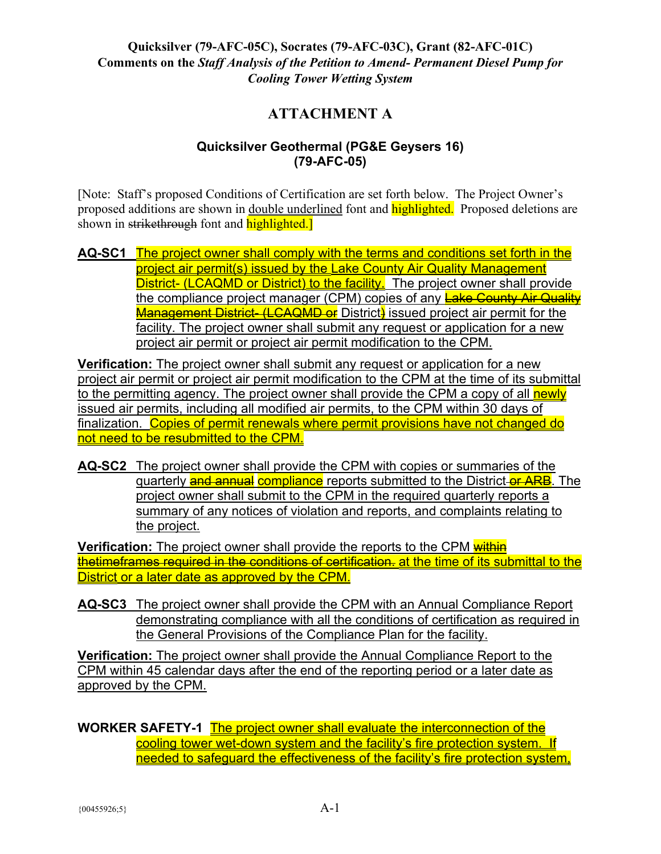# **ATTACHMENT A**

#### **Quicksilver Geothermal (PG&E Geysers 16) (79-AFC-05)**

[Note: Staff's proposed Conditions of Certification are set forth below. The Project Owner's proposed additions are shown in <u>double underlined</u> font and **highlighted**. Proposed deletions are shown in strikethrough font and highlighted.

**AQ-SC1** The project owner shall comply with the terms and conditions set forth in the project air permit(s) issued by the Lake County Air Quality Management District- (LCAQMD or District) to the facility. The project owner shall provide the compliance project manager (CPM) copies of any Lake County Air Quality Management District- (LCAQMD or District) issued project air permit for the facility. The project owner shall submit any request or application for a new project air permit or project air permit modification to the CPM.

**Verification:** The project owner shall submit any request or application for a new project air permit or project air permit modification to the CPM at the time of its submittal to the permitting agency. The project owner shall provide the CPM a copy of all newly issued air permits, including all modified air permits, to the CPM within 30 days of finalization. Copies of permit renewals where permit provisions have not changed do not need to be resubmitted to the CPM.

**AQ-SC2** The project owner shall provide the CPM with copies or summaries of the quarterly and annual compliance reports submitted to the District-or ARB. The project owner shall submit to the CPM in the required quarterly reports a summary of any notices of violation and reports, and complaints relating to the project.

**Verification:** The project owner shall provide the reports to the CPM within thetimeframes required in the conditions of certification, at the time of its submittal to the District or a later date as approved by the CPM.

**AQ-SC3** The project owner shall provide the CPM with an Annual Compliance Report demonstrating compliance with all the conditions of certification as required in the General Provisions of the Compliance Plan for the facility.

**Verification:** The project owner shall provide the Annual Compliance Report to the CPM within 45 calendar days after the end of the reporting period or a later date as approved by the CPM.

**WORKER SAFETY-1** The project owner shall evaluate the interconnection of the cooling tower wet-down system and the facility's fire protection system. If needed to safeguard the effectiveness of the facility's fire protection system,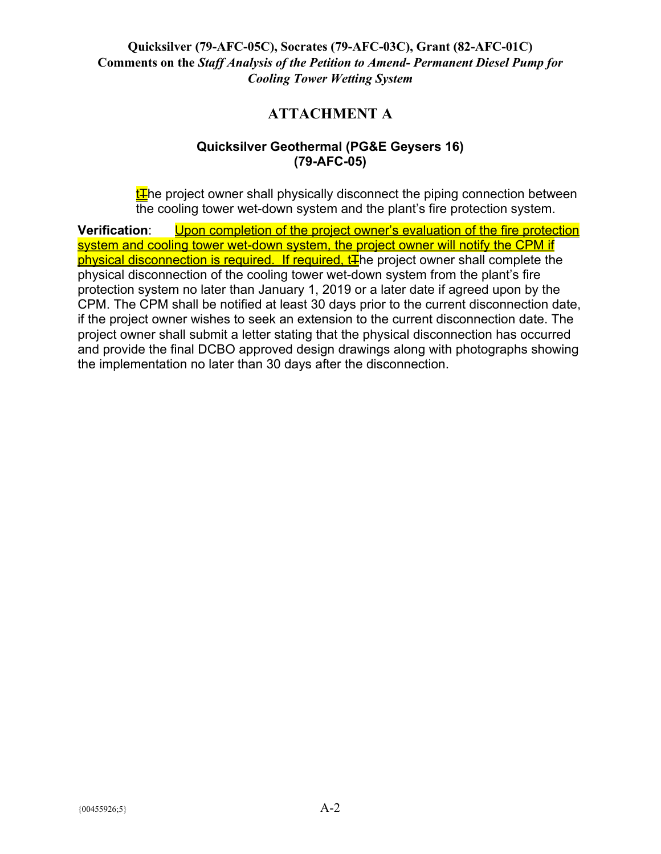# **ATTACHMENT A**

### **Quicksilver Geothermal (PG&E Geysers 16) (79-AFC-05)**

 $E$ he project owner shall physically disconnect the piping connection between the cooling tower wet-down system and the plant's fire protection system.

**Verification**: Upon completion of the project owner's evaluation of the fire protection system and cooling tower wet-down system, the project owner will notify the CPM if physical disconnection is required. If required,  $tF$  he project owner shall complete the physical disconnection of the cooling tower wet-down system from the plant's fire protection system no later than January 1, 2019 or a later date if agreed upon by the CPM. The CPM shall be notified at least 30 days prior to the current disconnection date, if the project owner wishes to seek an extension to the current disconnection date. The project owner shall submit a letter stating that the physical disconnection has occurred and provide the final DCBO approved design drawings along with photographs showing the implementation no later than 30 days after the disconnection.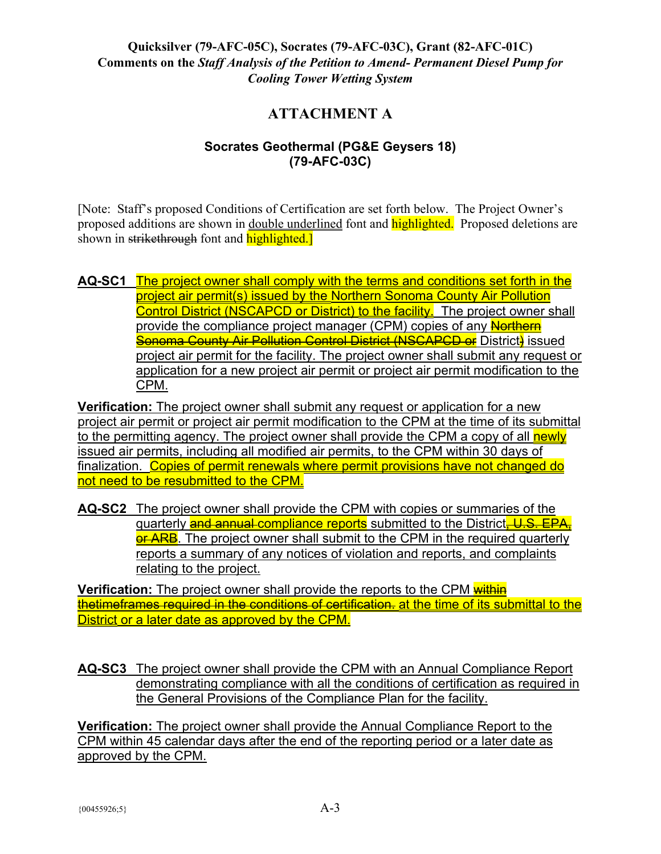# **ATTACHMENT A**

### **Socrates Geothermal (PG&E Geysers 18) (79-AFC-03C)**

[Note: Staff's proposed Conditions of Certification are set forth below. The Project Owner's proposed additions are shown in double underlined font and **highlighted**. Proposed deletions are shown in strikethrough font and highlighted.

#### **AQ-SC1** The project owner shall comply with the terms and conditions set forth in the project air permit(s) issued by the Northern Sonoma County Air Pollution Control District (NSCAPCD or District) to the facility. The project owner shall provide the compliance project manager (CPM) copies of any Northern **Sonoma County Air Pollution Control District (NSCAPCD or** District) issued project air permit for the facility. The project owner shall submit any request or application for a new project air permit or project air permit modification to the CPM.

**Verification:** The project owner shall submit any request or application for a new project air permit or project air permit modification to the CPM at the time of its submittal to the permitting agency. The project owner shall provide the CPM a copy of all newly issued air permits, including all modified air permits, to the CPM within 30 days of finalization. Copies of permit renewals where permit provisions have not changed do not need to be resubmitted to the CPM.

**AQ-SC2** The project owner shall provide the CPM with copies or summaries of the quarterly and annual compliance reports submitted to the District, U.S. EPA, or ARB. The project owner shall submit to the CPM in the required quarterly reports a summary of any notices of violation and reports, and complaints relating to the project.

**Verification:** The project owner shall provide the reports to the CPM within thetimeframes required in the conditions of certification. at the time of its submittal to the District or a later date as approved by the CPM.

**AQ-SC3** The project owner shall provide the CPM with an Annual Compliance Report demonstrating compliance with all the conditions of certification as required in the General Provisions of the Compliance Plan for the facility.

**Verification:** The project owner shall provide the Annual Compliance Report to the CPM within 45 calendar days after the end of the reporting period or a later date as approved by the CPM.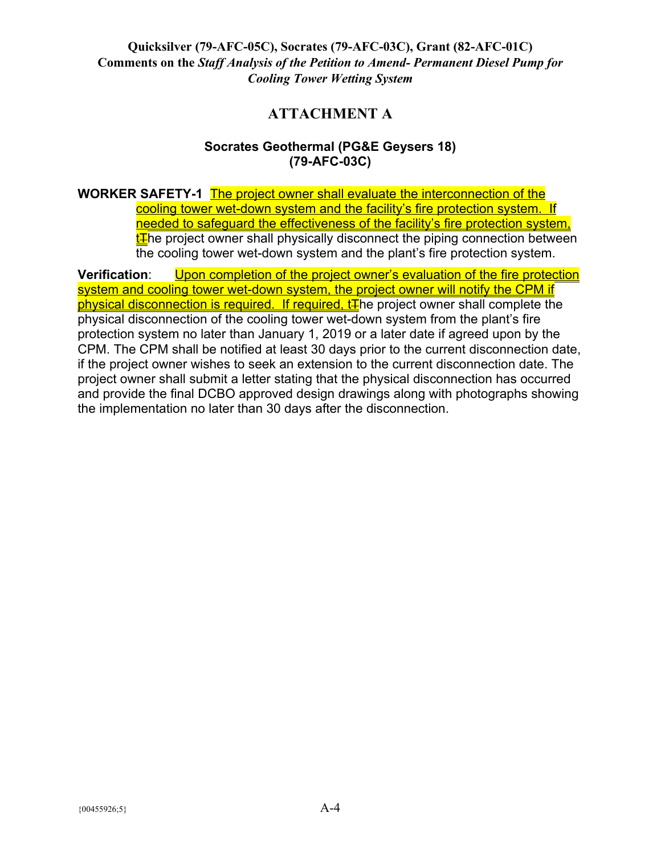# **ATTACHMENT A**

#### **Socrates Geothermal (PG&E Geysers 18) (79-AFC-03C)**

**WORKER SAFETY-1** The project owner shall evaluate the interconnection of the cooling tower wet-down system and the facility's fire protection system. If needed to safeguard the effectiveness of the facility's fire protection system,  $t$   $\overline{t}$  he project owner shall physically disconnect the piping connection between the cooling tower wet-down system and the plant's fire protection system.

**Verification**: Upon completion of the project owner's evaluation of the fire protection system and cooling tower wet-down system, the project owner will notify the CPM if physical disconnection is required. If required,  $tF$  he project owner shall complete the physical disconnection of the cooling tower wet-down system from the plant's fire protection system no later than January 1, 2019 or a later date if agreed upon by the CPM. The CPM shall be notified at least 30 days prior to the current disconnection date, if the project owner wishes to seek an extension to the current disconnection date. The project owner shall submit a letter stating that the physical disconnection has occurred and provide the final DCBO approved design drawings along with photographs showing the implementation no later than 30 days after the disconnection.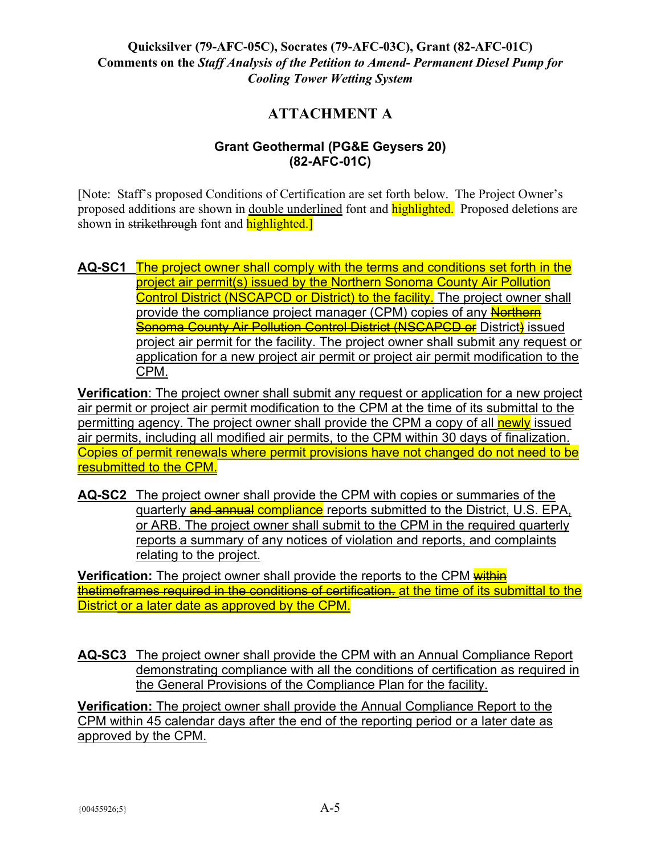# **ATTACHMENT A**

#### **Grant Geothermal (PG&E Geysers 20) (82-AFC-01C)**

[Note: Staff's proposed Conditions of Certification are set forth below. The Project Owner's proposed additions are shown in <u>double underlined</u> font and **highlighted**. Proposed deletions are shown in strikethrough font and highlighted.

**AQ-SC1** The project owner shall comply with the terms and conditions set forth in the project air permit(s) issued by the Northern Sonoma County Air Pollution Control District (NSCAPCD or District) to the facility. The project owner shall provide the compliance project manager (CPM) copies of any Northern **Sonoma County Air Pollution Control District (NSCAPCD or** District) issued project air permit for the facility. The project owner shall submit any request or application for a new project air permit or project air permit modification to the CPM.

**Verification**: The project owner shall submit any request or application for a new project air permit or project air permit modification to the CPM at the time of its submittal to the permitting agency. The project owner shall provide the CPM a copy of all newly issued air permits, including all modified air permits, to the CPM within 30 days of finalization. Copies of permit renewals where permit provisions have not changed do not need to be resubmitted to the CPM.

**AQ-SC2** The project owner shall provide the CPM with copies or summaries of the quarterly and annual compliance reports submitted to the District, U.S. EPA, or ARB. The project owner shall submit to the CPM in the required quarterly reports a summary of any notices of violation and reports, and complaints relating to the project.

**Verification:** The project owner shall provide the reports to the CPM within thetimeframes required in the conditions of certification. at the time of its submittal to the District or a later date as approved by the CPM.

**AQ-SC3** The project owner shall provide the CPM with an Annual Compliance Report demonstrating compliance with all the conditions of certification as required in the General Provisions of the Compliance Plan for the facility.

**Verification:** The project owner shall provide the Annual Compliance Report to the CPM within 45 calendar days after the end of the reporting period or a later date as approved by the CPM.